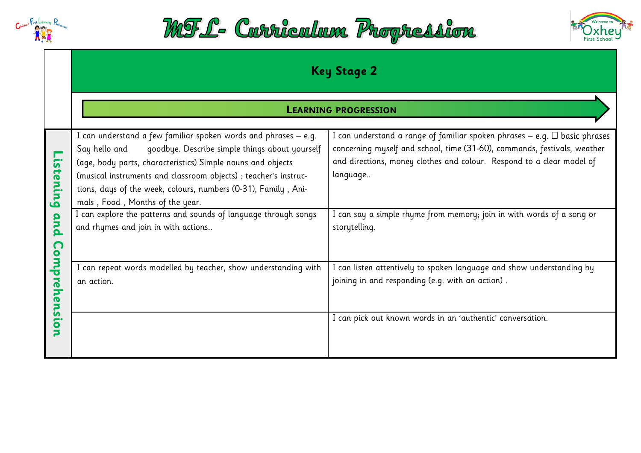





|                                                | <b>Key Stage 2</b>                                                                                                                                                                                                                                                                                                                                                                                                                                                                   |                                                                                                                                                                                                                                                                                                                                            |
|------------------------------------------------|--------------------------------------------------------------------------------------------------------------------------------------------------------------------------------------------------------------------------------------------------------------------------------------------------------------------------------------------------------------------------------------------------------------------------------------------------------------------------------------|--------------------------------------------------------------------------------------------------------------------------------------------------------------------------------------------------------------------------------------------------------------------------------------------------------------------------------------------|
|                                                |                                                                                                                                                                                                                                                                                                                                                                                                                                                                                      | <b>LEARNING PROGRESSION</b>                                                                                                                                                                                                                                                                                                                |
| ົດ<br><b>tening</b><br>and<br>$\mathbf \Omega$ | I can understand a few familiar spoken words and phrases – e.g.<br>goodbye. Describe simple things about yourself<br>Say hello and<br>(age, body parts, characteristics) Simple nouns and objects<br>(musical instruments and classroom objects) : teacher's instruc-<br>tions, days of the week, colours, numbers (0-31), Family, Ani-<br>mals, Food, Months of the year.<br>I can explore the patterns and sounds of language through songs<br>and rhymes and join in with actions | I can understand a range of familiar spoken phrases – e.g. $\Box$ basic phrases<br>concerning myself and school, time (31-60), commands, festivals, weather<br>and directions, money clothes and colour. Respond to a clear model of<br>language<br>I can say a simple rhyme from memory; join in with words of a song or<br>storytelling. |
| omp<br>5<br>O<br>52<br>О                       | I can repeat words modelled by teacher, show understanding with<br>an action.                                                                                                                                                                                                                                                                                                                                                                                                        | I can listen attentively to spoken language and show understanding by<br>joining in and responding (e.g. with an action).<br>I can pick out known words in an 'authentic' conversation.                                                                                                                                                    |
|                                                |                                                                                                                                                                                                                                                                                                                                                                                                                                                                                      |                                                                                                                                                                                                                                                                                                                                            |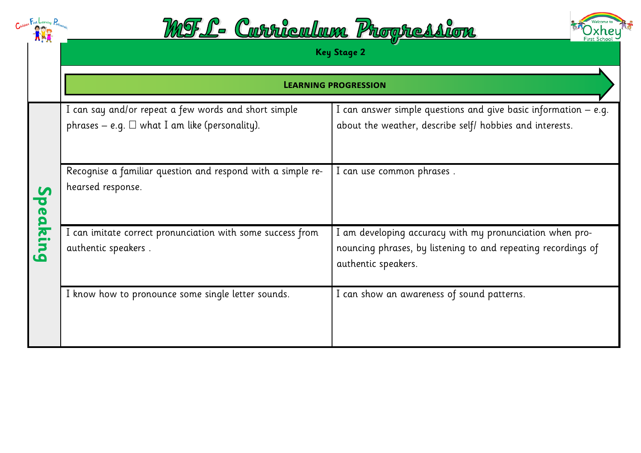|                                         | <u> MTL- Carriculaux Progression</u>                                                                        |                                                                                                                                                  |
|-----------------------------------------|-------------------------------------------------------------------------------------------------------------|--------------------------------------------------------------------------------------------------------------------------------------------------|
|                                         |                                                                                                             | <b>Key Stage 2</b>                                                                                                                               |
|                                         |                                                                                                             | <b>LEARNING PROGRESSION</b>                                                                                                                      |
|                                         | I can say and/or repeat a few words and short simple<br>phrases – e.g. $\Box$ what I am like (personality). | I can answer simple questions and give basic information $-$ e.g.<br>about the weather, describe self/ hobbies and interests.                    |
| $\mathbf{V}$<br>$\overline{\mathbf{C}}$ | Recognise a familiar question and respond with a simple re-<br>hearsed response.                            | I can use common phrases.                                                                                                                        |
| eaking                                  | I can imitate correct pronunciation with some success from<br>authentic speakers.                           | I am developing accuracy with my pronunciation when pro-<br>nouncing phrases, by listening to and repeating recordings of<br>authentic speakers. |
|                                         | I know how to pronounce some single letter sounds.                                                          | I can show an awareness of sound patterns.                                                                                                       |
|                                         |                                                                                                             |                                                                                                                                                  |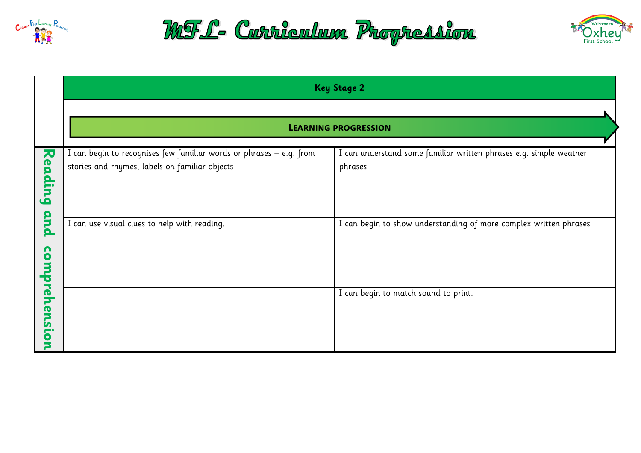





|                        | <b>Key Stage 2</b>                                                                                                    |                                                                               |  |
|------------------------|-----------------------------------------------------------------------------------------------------------------------|-------------------------------------------------------------------------------|--|
|                        |                                                                                                                       |                                                                               |  |
|                        | <b>LEARNING PROGRESSION</b>                                                                                           |                                                                               |  |
| 刀<br>ea<br><b>ding</b> | I can begin to recognises few familiar words or phrases - e.g. from<br>stories and rhymes, labels on familiar objects | I can understand some familiar written phrases e.g. simple weather<br>phrases |  |
| and<br>n<br>O<br>Ę     | I can use visual clues to help with reading.                                                                          | I can begin to show understanding of more complex written phrases             |  |
| preh<br>ens<br>О       |                                                                                                                       | I can begin to match sound to print.                                          |  |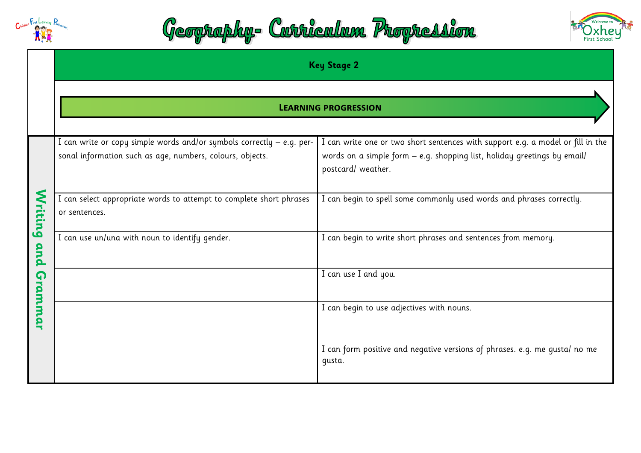





|                                      | <b>Key Stage 2</b>                                                                                                                 |                                                                                                                                                                                   |
|--------------------------------------|------------------------------------------------------------------------------------------------------------------------------------|-----------------------------------------------------------------------------------------------------------------------------------------------------------------------------------|
|                                      | <b>LEARNING PROGRESSION</b>                                                                                                        |                                                                                                                                                                                   |
| S<br><b>Triting</b><br>and<br>rammar | I can write or copy simple words and/or symbols correctly - e.g. per-<br>sonal information such as age, numbers, colours, objects. | I can write one or two short sentences with support e.g. a model or fill in the<br>words on a simple form - e.g. shopping list, holiday greetings by email/<br>postcard/ weather. |
|                                      | I can select appropriate words to attempt to complete short phrases<br>or sentences.                                               | I can begin to spell some commonly used words and phrases correctly.                                                                                                              |
|                                      | I can use un/una with noun to identify gender.                                                                                     | I can begin to write short phrases and sentences from memory.                                                                                                                     |
|                                      |                                                                                                                                    | I can use I and you.                                                                                                                                                              |
|                                      |                                                                                                                                    | I can begin to use adjectives with nouns.                                                                                                                                         |
|                                      |                                                                                                                                    | I can form positive and negative versions of phrases. e.g. me qusta/ no me<br>qusta.                                                                                              |